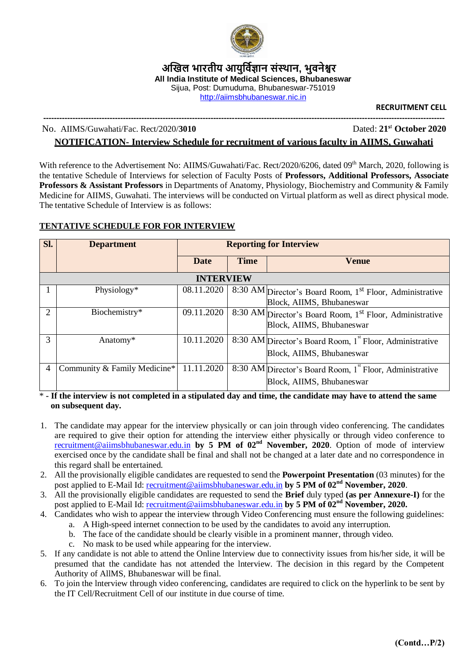

**अखिल भारतीय आयुर्विज्ञान संस्थान, भुवनेश्वर All India Institute of Medical Sciences, Bhubaneswar**  Sijua, Post: Dumuduma, Bhubaneswar-751019 [http://aiimsbhubaneswar.nic.in](http://aiimsbhubaneswar.nic.in/)

**RECRUITMENT CELL**

#### **-------------------------------------------------------------------------------------------------------------------------------------------------------** No. AIIMS/Guwahati/Fac. Rect/2020/**3010** Dated: **21<sup>s</sup>**<sup>t</sup> **October 2020**

# **NOTIFICATION- Interview Schedule for recruitment of various faculty in AIIMS, Guwahati**

With reference to the Advertisement No: AIIMS/Guwahati/Fac. Rect/2020/6206, dated 09<sup>th</sup> March, 2020, following is the tentative Schedule of Interviews for selection of Faculty Posts of **Professors, Additional Professors, Associate Professors & Assistant Professors** in Departments of Anatomy, Physiology, Biochemistry and Community & Family Medicine for AIIMS, Guwahati. The interviews will be conducted on Virtual platform as well as direct physical mode. The tentative Schedule of Interview is as follows:

### **TENTATIVE SCHEDULE FOR FOR INTERVIEW**

| Sl.            | <b>Department</b>            | <b>Reporting for Interview</b> |             |                                                                                                   |  |  |  |  |  |
|----------------|------------------------------|--------------------------------|-------------|---------------------------------------------------------------------------------------------------|--|--|--|--|--|
|                |                              | <b>Date</b>                    | <b>Time</b> | Venue                                                                                             |  |  |  |  |  |
|                | <b>INTERVIEW</b>             |                                |             |                                                                                                   |  |  |  |  |  |
|                | Physiology*                  | 08.11.2020                     |             | 8:30 AM Director's Board Room, 1 <sup>st</sup> Floor, Administrative<br>Block, AIIMS, Bhubaneswar |  |  |  |  |  |
| $\overline{c}$ | Biochemistry*                | 09.11.2020                     |             | 8:30 AM Director's Board Room, 1 <sup>st</sup> Floor, Administrative<br>Block, AIIMS, Bhubaneswar |  |  |  |  |  |
| 3              | Anatomy*                     | 10.11.2020                     |             | 8:30 AM Director's Board Room, 1 <sup>st</sup> Floor, Administrative<br>Block, AIIMS, Bhubaneswar |  |  |  |  |  |
| $\overline{4}$ | Community & Family Medicine* | 11.11.2020                     |             | 8:30 AM Director's Board Room, 1 <sup>st</sup> Floor, Administrative<br>Block, AIIMS, Bhubaneswar |  |  |  |  |  |

\* **- If the interview is not completed in a stipulated day and time, the candidate may have to attend the same on subsequent day.**

- 1. The candidate may appear for the interview physically or can join through video conferencing. The candidates are required to give their option for attending the interview either physically or through video conference to [recruitment@aiimsbhubaneswar.edu.in](mailto:recruitment@aiimsbhubaneswar.edu.in) **by 5 PM of 02nd November, 2020**. Option of mode of interview exercised once by the candidate shall be final and shall not be changed at a later date and no correspondence in this regard shall be entertained.
- 2. All the provisionally eligible candidates are requested to send the **Powerpoint Presentation** (03 minutes) for the post applied to E-Mail Id: [recruitment@aiimsbhubaneswar.edu.in](mailto:recruitment@aiimsbhubaneswar.edu.in) **by 5 PM of 02nd November, 2020**.
- 3. All the provisionally eligible candidates are requested to send the **Brief** duly typed **(as per Annexure-I)** for the post applied to E-Mail Id: [recruitment@aiimsbhubaneswar.edu.in](mailto:recruitment@aiimsbhubaneswar.edu.in) **by 5 PM of 02nd November, 2020.**
- 4. Candidates who wish to appear the interview through Video Conferencing must ensure the following guidelines:
	- a. A High-speed internet connection to be used by the candidates to avoid any interruption.
	- b. The face of the candidate should be clearly visible in a prominent manner, through video.
	- c. No mask to be used while appearing for the interview.
- 5. If any candidate is not able to attend the Online lnterview due to connectivity issues from his/her side, it will be presumed that the candidate has not attended the lnterview. The decision in this regard by the Competent Authority of AllMS, Bhubaneswar will be final.
- 6. To join the lnterview through video conferencing, candidates are required to click on the hyperlink to be sent by the IT Cell/Recruitment Cell of our institute in due course of time.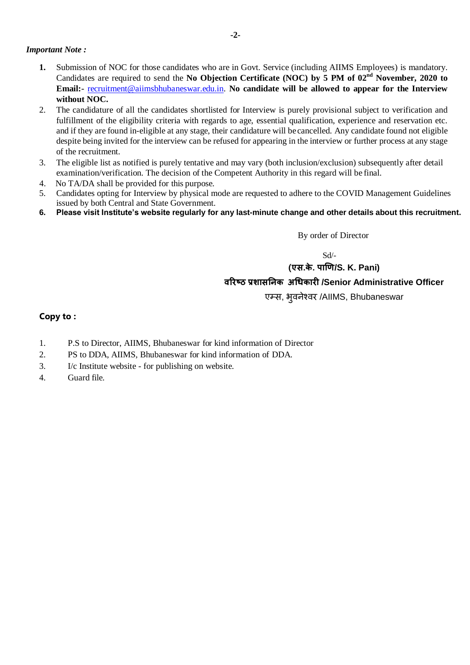#### *Important Note :*

- **1.** Submission of NOC for those candidates who are in Govt. Service (including AIIMS Employees) is mandatory. Candidates are required to send the **No Objection Certificate (NOC) by 5 PM of 02nd November, 2020 to Email:-** [recruitment@aiimsbhubaneswar.edu.in.](mailto:recruitment@aiimsbhubaneswar.edu.in) **No candidate will be allowed to appear for the Interview without NOC.**
- 2. The candidature of all the candidates shortlisted for Interview is purely provisional subject to verification and fulfillment of the eligibility criteria with regards to age, essential qualification, experience and reservation etc. and if they are found in-eligible at any stage, their candidature will be cancelled. Any candidate found not eligible despite being invited for the interview can be refused for appearing in the interview or further process at any stage of the recruitment.
- 3. The eligible list as notified is purely tentative and may vary (both inclusion/exclusion) subsequently after detail examination/verification. The decision of the Competent Authority in this regard will be final.
- 4. No TA/DA shall be provided for this purpose.
- 5. Candidates opting for Interview by physical mode are requested to adhere to the COVID Management Guidelines issued by both Central and State Government.
- **6. Please visit Institute's website regularly for any last-minute change and other details about this recruitment.**

By order of Director

Sd/-

## **(एस.के. पाणि/S. K. Pani)**

#### **वरिष्ठ प्रशासनिक अधिकािी /Senior Administrative Officer**

एम्स, भुवनेश्वर /AIIMS, Bhubaneswar

#### **Copy to :**

- 1. P.S to Director, AIIMS, Bhubaneswar for kind information of Director
- 2. PS to DDA, AIIMS, Bhubaneswar for kind information of DDA.
- 3. I/c Institute website for publishing on website.
- 4. Guard file.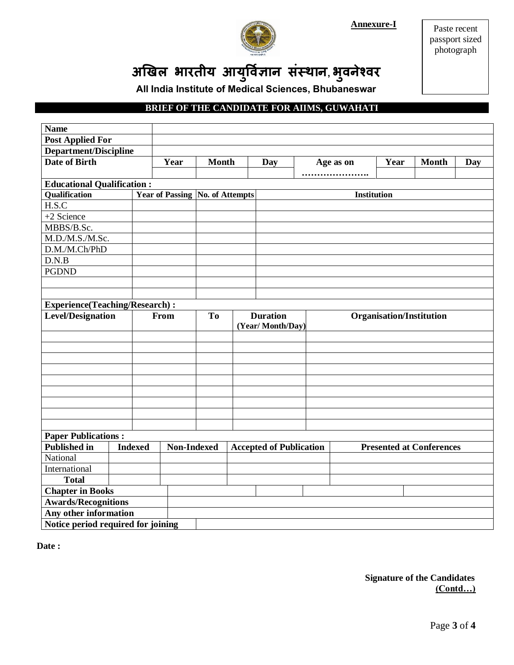**Annexure-I** 



Paste recent passport sized photograph

अखिल भारतीय आयुर्विज्ञान संस्थान, भुवनेश्वर

All India Institute of Medical Sciences, Bhubaneswar

## **BRIEF OF THE CANDIDATE FOR AIIMS, GUWAHATI**

| <b>Name</b>                           |      |              |                                        |                  |                                |  |                                 |              |     |  |  |
|---------------------------------------|------|--------------|----------------------------------------|------------------|--------------------------------|--|---------------------------------|--------------|-----|--|--|
| <b>Post Applied For</b>               |      |              |                                        |                  |                                |  |                                 |              |     |  |  |
| <b>Department/Discipline</b>          |      |              |                                        |                  |                                |  |                                 |              |     |  |  |
| <b>Date of Birth</b>                  | Year | <b>Month</b> |                                        | Day              | Age as on                      |  | Year                            | <b>Month</b> | Day |  |  |
|                                       |      |              |                                        |                  |                                |  |                                 |              |     |  |  |
| <b>Educational Qualification:</b>     |      |              |                                        |                  |                                |  |                                 |              |     |  |  |
| Qualification                         |      |              | <b>Year of Passing No. of Attempts</b> |                  | Institution                    |  |                                 |              |     |  |  |
| H.S.C                                 |      |              |                                        |                  |                                |  |                                 |              |     |  |  |
| +2 Science                            |      |              |                                        |                  |                                |  |                                 |              |     |  |  |
| MBBS/B.Sc.                            |      |              |                                        |                  |                                |  |                                 |              |     |  |  |
| M.D./M.S./M.Sc.                       |      |              |                                        |                  |                                |  |                                 |              |     |  |  |
| D.M./M.Ch/PhD                         |      |              |                                        |                  |                                |  |                                 |              |     |  |  |
| D.N.B                                 |      |              |                                        |                  |                                |  |                                 |              |     |  |  |
| <b>PGDND</b>                          |      |              |                                        |                  |                                |  |                                 |              |     |  |  |
|                                       |      |              |                                        |                  |                                |  |                                 |              |     |  |  |
|                                       |      |              |                                        |                  |                                |  |                                 |              |     |  |  |
| <b>Experience(Teaching/Research):</b> |      |              |                                        |                  |                                |  |                                 |              |     |  |  |
| <b>Level/Designation</b>              |      | From         | <b>To</b>                              | <b>Duration</b>  |                                |  | <b>Organisation/Institution</b> |              |     |  |  |
|                                       |      |              |                                        | (Year/Month/Day) |                                |  |                                 |              |     |  |  |
|                                       |      |              |                                        |                  |                                |  |                                 |              |     |  |  |
|                                       |      |              |                                        |                  |                                |  |                                 |              |     |  |  |
|                                       |      |              |                                        |                  |                                |  |                                 |              |     |  |  |
|                                       |      |              |                                        |                  |                                |  |                                 |              |     |  |  |
|                                       |      |              |                                        |                  |                                |  |                                 |              |     |  |  |
|                                       |      |              |                                        |                  |                                |  |                                 |              |     |  |  |
|                                       |      |              |                                        |                  |                                |  |                                 |              |     |  |  |
|                                       |      |              |                                        |                  |                                |  |                                 |              |     |  |  |
| <b>Paper Publications:</b>            |      |              |                                        |                  |                                |  |                                 |              |     |  |  |
| <b>Published in</b><br><b>Indexed</b> |      | Non-Indexed  |                                        |                  | <b>Accepted of Publication</b> |  | <b>Presented at Conferences</b> |              |     |  |  |
| National                              |      |              |                                        |                  |                                |  |                                 |              |     |  |  |
| International                         |      |              |                                        |                  |                                |  |                                 |              |     |  |  |
| <b>Total</b>                          |      |              |                                        |                  |                                |  |                                 |              |     |  |  |
| <b>Chapter in Books</b>               |      |              |                                        |                  |                                |  |                                 |              |     |  |  |
| <b>Awards/Recognitions</b>            |      |              |                                        |                  |                                |  |                                 |              |     |  |  |
| Any other information                 |      |              |                                        |                  |                                |  |                                 |              |     |  |  |
| Notice period required for joining    |      |              |                                        |                  |                                |  |                                 |              |     |  |  |

Date:

**Signature of the Candidates**  $(Control...)$